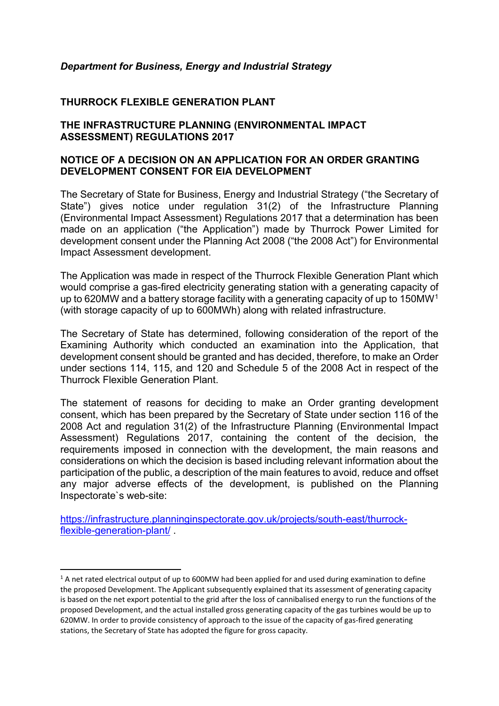## *Department for Business, Energy and Industrial Strategy*

## **THURROCK FLEXIBLE GENERATION PLANT**

## **THE INFRASTRUCTURE PLANNING (ENVIRONMENTAL IMPACT ASSESSMENT) REGULATIONS 2017**

## **NOTICE OF A DECISION ON AN APPLICATION FOR AN ORDER GRANTING DEVELOPMENT CONSENT FOR EIA DEVELOPMENT**

The Secretary of State for Business, Energy and Industrial Strategy ("the Secretary of State") gives notice under regulation 31(2) of the Infrastructure Planning (Environmental Impact Assessment) Regulations 2017 that a determination has been made on an application ("the Application") made by Thurrock Power Limited for development consent under the Planning Act 2008 ("the 2008 Act") for Environmental Impact Assessment development.

The Application was made in respect of the Thurrock Flexible Generation Plant which would comprise a gas-fired electricity generating station with a generating capacity of up to 620MW and a battery storage facility with a generating capacity of up to 150MW[1](#page-0-0) (with storage capacity of up to 600MWh) along with related infrastructure.

The Secretary of State has determined, following consideration of the report of the Examining Authority which conducted an examination into the Application, that development consent should be granted and has decided, therefore, to make an Order under sections 114, 115, and 120 and Schedule 5 of the 2008 Act in respect of the Thurrock Flexible Generation Plant.

The statement of reasons for deciding to make an Order granting development consent, which has been prepared by the Secretary of State under section 116 of the 2008 Act and regulation 31(2) of the Infrastructure Planning (Environmental Impact Assessment) Regulations 2017, containing the content of the decision, the requirements imposed in connection with the development, the main reasons and considerations on which the decision is based including relevant information about the participation of the public, a description of the main features to avoid, reduce and offset any major adverse effects of the development, is published on the Planning Inspectorate`s web-site:

[https://infrastructure.planninginspectorate.gov.uk/projects/south-east/thurrock](https://infrastructure.planninginspectorate.gov.uk/projects/south-east/thurrock-flexible-generation-plant/)[flexible-generation-plant/](https://infrastructure.planninginspectorate.gov.uk/projects/south-east/thurrock-flexible-generation-plant/) .

<span id="page-0-0"></span> $1$  A net rated electrical output of up to 600MW had been applied for and used during examination to define the proposed Development. The Applicant subsequently explained that its assessment of generating capacity is based on the net export potential to the grid after the loss of cannibalised energy to run the functions of the proposed Development, and the actual installed gross generating capacity of the gas turbines would be up to 620MW. In order to provide consistency of approach to the issue of the capacity of gas-fired generating stations, the Secretary of State has adopted the figure for gross capacity.